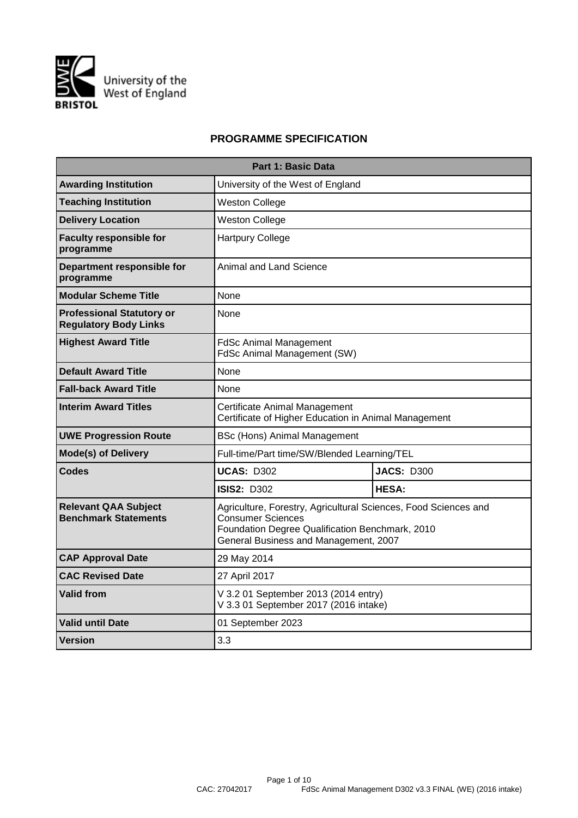

# **PROGRAMME SPECIFICATION**

| <b>Part 1: Basic Data</b>                                        |                                                                                                                                                                                  |                   |  |  |  |  |  |  |
|------------------------------------------------------------------|----------------------------------------------------------------------------------------------------------------------------------------------------------------------------------|-------------------|--|--|--|--|--|--|
| <b>Awarding Institution</b>                                      | University of the West of England                                                                                                                                                |                   |  |  |  |  |  |  |
| <b>Teaching Institution</b>                                      | <b>Weston College</b>                                                                                                                                                            |                   |  |  |  |  |  |  |
| <b>Delivery Location</b>                                         | <b>Weston College</b>                                                                                                                                                            |                   |  |  |  |  |  |  |
| <b>Faculty responsible for</b><br>programme                      | <b>Hartpury College</b>                                                                                                                                                          |                   |  |  |  |  |  |  |
| Department responsible for<br>programme                          | Animal and Land Science                                                                                                                                                          |                   |  |  |  |  |  |  |
| <b>Modular Scheme Title</b>                                      | None                                                                                                                                                                             |                   |  |  |  |  |  |  |
| <b>Professional Statutory or</b><br><b>Regulatory Body Links</b> | None                                                                                                                                                                             |                   |  |  |  |  |  |  |
| <b>Highest Award Title</b>                                       | <b>FdSc Animal Management</b><br>FdSc Animal Management (SW)                                                                                                                     |                   |  |  |  |  |  |  |
| <b>Default Award Title</b>                                       | None                                                                                                                                                                             |                   |  |  |  |  |  |  |
| <b>Fall-back Award Title</b>                                     | None                                                                                                                                                                             |                   |  |  |  |  |  |  |
| <b>Interim Award Titles</b>                                      | Certificate Animal Management<br>Certificate of Higher Education in Animal Management                                                                                            |                   |  |  |  |  |  |  |
| <b>UWE Progression Route</b>                                     | <b>BSc (Hons) Animal Management</b>                                                                                                                                              |                   |  |  |  |  |  |  |
| <b>Mode(s) of Delivery</b>                                       | Full-time/Part time/SW/Blended Learning/TEL                                                                                                                                      |                   |  |  |  |  |  |  |
| Codes                                                            | <b>UCAS: D302</b>                                                                                                                                                                | <b>JACS: D300</b> |  |  |  |  |  |  |
|                                                                  | <b>ISIS2: D302</b>                                                                                                                                                               | <b>HESA:</b>      |  |  |  |  |  |  |
| <b>Relevant QAA Subject</b><br><b>Benchmark Statements</b>       | Agriculture, Forestry, Agricultural Sciences, Food Sciences and<br>Consumer Sciences<br>Foundation Degree Qualification Benchmark, 2010<br>General Business and Management, 2007 |                   |  |  |  |  |  |  |
| <b>CAP Approval Date</b>                                         | 29 May 2014                                                                                                                                                                      |                   |  |  |  |  |  |  |
| <b>CAC Revised Date</b>                                          | 27 April 2017                                                                                                                                                                    |                   |  |  |  |  |  |  |
| <b>Valid from</b>                                                | V 3.2 01 September 2013 (2014 entry)<br>V 3.3 01 September 2017 (2016 intake)                                                                                                    |                   |  |  |  |  |  |  |
| <b>Valid until Date</b>                                          | 01 September 2023                                                                                                                                                                |                   |  |  |  |  |  |  |
| Version                                                          | 3.3                                                                                                                                                                              |                   |  |  |  |  |  |  |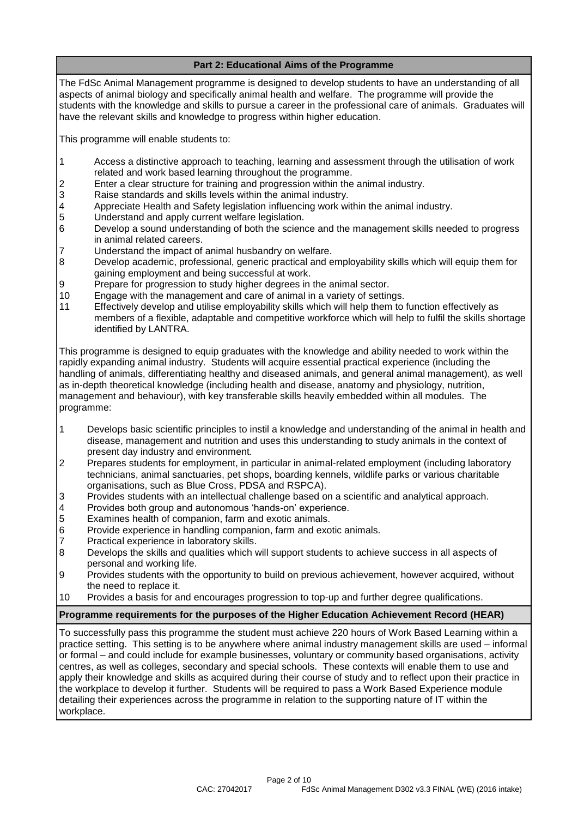# **Part 2: Educational Aims of the Programme**

The FdSc Animal Management programme is designed to develop students to have an understanding of all aspects of animal biology and specifically animal health and welfare. The programme will provide the students with the knowledge and skills to pursue a career in the professional care of animals. Graduates will have the relevant skills and knowledge to progress within higher education.

This programme will enable students to:

- 1 Access a distinctive approach to teaching, learning and assessment through the utilisation of work related and work based learning throughout the programme.
- 2 Enter a clear structure for training and progression within the animal industry.<br>3 Raise standards and skills levels within the animal industry.
- Raise standards and skills levels within the animal industry.
- 4 Appreciate Health and Safety legislation influencing work within the animal industry.<br>5 Understand and apply current welfare legislation.
- 5 Understand and apply current welfare legislation.<br>6 Develop a sound understanding of both the science
- Develop a sound understanding of both the science and the management skills needed to progress in animal related careers.
- 7 Understand the impact of animal husbandry on welfare.
- 8 Develop academic, professional, generic practical and employability skills which will equip them for gaining employment and being successful at work.
- 9 Prepare for progression to study higher degrees in the animal sector.
- 10 Engage with the management and care of animal in a variety of settings.
- 11 Effectively develop and utilise employability skills which will help them to function effectively as members of a flexible, adaptable and competitive workforce which will help to fulfil the skills shortage identified by LANTRA.

This programme is designed to equip graduates with the knowledge and ability needed to work within the rapidly expanding animal industry. Students will acquire essential practical experience (including the handling of animals, differentiating healthy and diseased animals, and general animal management), as well as in-depth theoretical knowledge (including health and disease, anatomy and physiology, nutrition, management and behaviour), with key transferable skills heavily embedded within all modules. The programme:

- 1 Develops basic scientific principles to instil a knowledge and understanding of the animal in health and disease, management and nutrition and uses this understanding to study animals in the context of present day industry and environment.
- 2 Prepares students for employment, in particular in animal-related employment (including laboratory technicians, animal sanctuaries, pet shops, boarding kennels, wildlife parks or various charitable organisations, such as Blue Cross, PDSA and RSPCA).
- 3 Provides students with an intellectual challenge based on a scientific and analytical approach.
- 4 Provides both group and autonomous 'hands-on' experience.<br>5 Examines health of companion, farm and exotic animals.
- Examines health of companion, farm and exotic animals.
- 6 Provide experience in handling companion, farm and exotic animals.<br>7 Practical experience in laboratory skills.
- 
- 7 Practical experience in laboratory skills. Develops the skills and qualities which will support students to achieve success in all aspects of personal and working life.
- 9 Provides students with the opportunity to build on previous achievement, however acquired, without the need to replace it.
- 10 Provides a basis for and encourages progression to top-up and further degree qualifications.

## **Programme requirements for the purposes of the Higher Education Achievement Record (HEAR)**

To successfully pass this programme the student must achieve 220 hours of Work Based Learning within a practice setting. This setting is to be anywhere where animal industry management skills are used – informal or formal – and could include for example businesses, voluntary or community based organisations, activity centres, as well as colleges, secondary and special schools. These contexts will enable them to use and apply their knowledge and skills as acquired during their course of study and to reflect upon their practice in the workplace to develop it further. Students will be required to pass a Work Based Experience module detailing their experiences across the programme in relation to the supporting nature of IT within the workplace.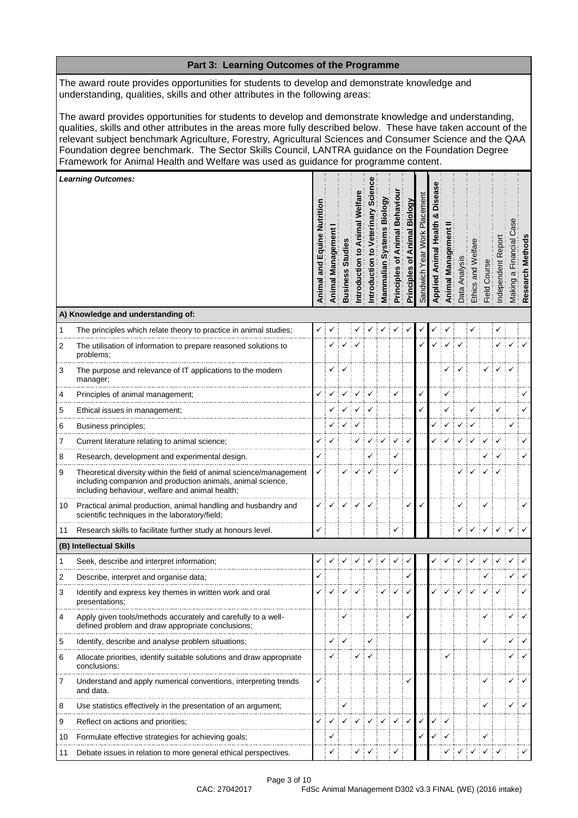|    | Part 3: Learning Outcomes of the Programme                                                                                                                                                                                                                                                                                                                                                                                                                                                                                      |                                 |                   |                 |                  |                                         |                        |                                           |                                      |                      |         |              |               |              |              |            |                                 |                   |
|----|---------------------------------------------------------------------------------------------------------------------------------------------------------------------------------------------------------------------------------------------------------------------------------------------------------------------------------------------------------------------------------------------------------------------------------------------------------------------------------------------------------------------------------|---------------------------------|-------------------|-----------------|------------------|-----------------------------------------|------------------------|-------------------------------------------|--------------------------------------|----------------------|---------|--------------|---------------|--------------|--------------|------------|---------------------------------|-------------------|
|    | The award route provides opportunities for students to develop and demonstrate knowledge and<br>understanding, qualities, skills and other attributes in the following areas:                                                                                                                                                                                                                                                                                                                                                   |                                 |                   |                 |                  |                                         |                        |                                           |                                      |                      |         |              |               |              |              |            |                                 |                   |
|    | The award provides opportunities for students to develop and demonstrate knowledge and understanding,<br>qualities, skills and other attributes in the areas more fully described below. These have taken account of the<br>relevant subject benchmark Agriculture, Forestry, Agricultural Sciences and Consumer Science and the QAA<br>Foundation degree benchmark. The Sector Skills Council, LANTRA guidance on the Foundation Degree<br>Framework for Animal Health and Welfare was used as guidance for programme content. |                                 |                   |                 |                  |                                         |                        |                                           |                                      |                      |         |              |               |              |              |            |                                 |                   |
|    | <b>Learning Outcomes:</b>                                                                                                                                                                                                                                                                                                                                                                                                                                                                                                       |                                 |                   |                 |                  |                                         |                        |                                           |                                      |                      |         |              |               |              |              |            |                                 |                   |
|    |                                                                                                                                                                                                                                                                                                                                                                                                                                                                                                                                 | e Nutrition<br>Animal and Equin | Animal Management | <b>Business</b> | ⋚<br>ntroduction | terinary<br>$\mathbf{c}$<br>ntroduction | s Biology<br>Mammalian | <b>Behavio</b><br>imal<br>৳<br>Principles | Biology<br>Animal<br>৳<br>Principles | lacement<br>Sandwich | Applied | Animal       | Anal<br>hata. | Ethics       | Field Cour   | ndependent | Financial<br>$\varpi$<br>Making | Method<br>esearch |
|    | A) Knowledge and understanding of:                                                                                                                                                                                                                                                                                                                                                                                                                                                                                              |                                 |                   |                 |                  |                                         |                        |                                           |                                      |                      |         |              |               |              |              |            |                                 |                   |
| 1  | The principles which relate theory to practice in animal studies;                                                                                                                                                                                                                                                                                                                                                                                                                                                               | ✓                               |                   |                 |                  |                                         |                        |                                           | ✓                                    |                      |         |              |               |              |              | ✓          |                                 |                   |
| 2  | The utilisation of information to prepare reasoned solutions to<br>problems:                                                                                                                                                                                                                                                                                                                                                                                                                                                    |                                 |                   |                 |                  |                                         |                        |                                           |                                      |                      |         |              |               |              |              |            |                                 |                   |
| 3  | The purpose and relevance of IT applications to the modern<br>manager;                                                                                                                                                                                                                                                                                                                                                                                                                                                          |                                 |                   |                 |                  |                                         |                        |                                           |                                      |                      |         |              |               |              |              |            |                                 |                   |
| 4  | Principles of animal management;                                                                                                                                                                                                                                                                                                                                                                                                                                                                                                |                                 |                   |                 |                  |                                         |                        |                                           |                                      |                      |         |              |               |              |              |            |                                 |                   |
| 5  | Ethical issues in management;                                                                                                                                                                                                                                                                                                                                                                                                                                                                                                   |                                 |                   |                 |                  |                                         |                        |                                           |                                      | ✓                    |         |              |               | ✓            |              | ✓          |                                 |                   |
| 6  | Business principles;                                                                                                                                                                                                                                                                                                                                                                                                                                                                                                            |                                 |                   |                 |                  |                                         |                        |                                           |                                      |                      |         |              |               |              |              |            |                                 |                   |
| 7  | Current literature relating to animal science;                                                                                                                                                                                                                                                                                                                                                                                                                                                                                  |                                 |                   |                 |                  |                                         |                        |                                           |                                      |                      |         |              |               |              |              |            |                                 |                   |
| 8  | Research, development and experimental design.                                                                                                                                                                                                                                                                                                                                                                                                                                                                                  | ✓                               |                   |                 |                  |                                         |                        | ✓                                         |                                      |                      |         |              |               |              |              |            |                                 | ✓                 |
| 9  | Theoretical diversity within the field of animal science/management<br>including companion and production animals, animal science,<br>including behaviour, welfare and animal health;                                                                                                                                                                                                                                                                                                                                           | ✓                               |                   |                 |                  |                                         |                        | ✓                                         |                                      |                      |         |              |               |              |              |            |                                 |                   |
| 10 | Practical animal production, animal handling and husbandry and<br>scientific techniques in the laboratory/field;                                                                                                                                                                                                                                                                                                                                                                                                                |                                 |                   |                 |                  |                                         |                        |                                           |                                      |                      |         |              |               |              |              |            |                                 |                   |
| 11 | Research skills to facilitate further study at honours level.                                                                                                                                                                                                                                                                                                                                                                                                                                                                   | ✓                               |                   |                 |                  |                                         |                        | ✓                                         |                                      |                      |         |              |               |              | $\checkmark$ | ÷√         | $\checkmark$                    |                   |
|    | (B) Intellectual Skills                                                                                                                                                                                                                                                                                                                                                                                                                                                                                                         |                                 |                   |                 |                  |                                         |                        |                                           |                                      |                      |         |              |               |              |              |            |                                 |                   |
| 1  | Seek, describe and interpret information;                                                                                                                                                                                                                                                                                                                                                                                                                                                                                       |                                 |                   |                 |                  |                                         |                        |                                           |                                      |                      |         |              |               |              |              |            |                                 |                   |
| 2  | Describe, interpret and organise data;                                                                                                                                                                                                                                                                                                                                                                                                                                                                                          |                                 |                   |                 |                  |                                         |                        |                                           |                                      |                      |         |              |               |              |              |            |                                 |                   |
| 3  | Identify and express key themes in written work and oral<br>presentations;                                                                                                                                                                                                                                                                                                                                                                                                                                                      |                                 |                   |                 |                  |                                         |                        |                                           |                                      |                      |         |              |               |              |              |            |                                 |                   |
| 4  | Apply given tools/methods accurately and carefully to a well-<br>defined problem and draw appropriate conclusions;                                                                                                                                                                                                                                                                                                                                                                                                              |                                 |                   |                 |                  |                                         |                        |                                           |                                      |                      |         |              |               |              | ✓            |            |                                 |                   |
| 5  | Identify, describe and analyse problem situations;                                                                                                                                                                                                                                                                                                                                                                                                                                                                              |                                 |                   |                 |                  |                                         |                        |                                           |                                      |                      |         |              |               |              |              |            |                                 |                   |
| 6  | Allocate priorities, identify suitable solutions and draw appropriate<br>conclusions;                                                                                                                                                                                                                                                                                                                                                                                                                                           |                                 |                   |                 |                  |                                         |                        |                                           |                                      |                      |         |              |               |              |              |            |                                 |                   |
| 7  | Understand and apply numerical conventions, interpreting trends<br>and data.                                                                                                                                                                                                                                                                                                                                                                                                                                                    | ✓                               |                   |                 |                  |                                         |                        |                                           |                                      |                      |         |              |               |              | ✓            |            |                                 |                   |
| 8  | Use statistics effectively in the presentation of an argument;                                                                                                                                                                                                                                                                                                                                                                                                                                                                  |                                 |                   |                 |                  |                                         |                        |                                           |                                      |                      |         |              |               |              |              |            |                                 |                   |
| 9  | Reflect on actions and priorities;                                                                                                                                                                                                                                                                                                                                                                                                                                                                                              | ✓                               |                   |                 |                  |                                         |                        |                                           |                                      | $\checkmark$         |         |              |               |              |              |            |                                 |                   |
| 10 | Formulate effective strategies for achieving goals;                                                                                                                                                                                                                                                                                                                                                                                                                                                                             |                                 | ✓                 |                 |                  |                                         |                        |                                           |                                      |                      |         | $\checkmark$ |               |              | ✓            |            |                                 |                   |
| 11 | Debate issues in relation to more general ethical perspectives.                                                                                                                                                                                                                                                                                                                                                                                                                                                                 |                                 | ✓                 |                 | ✓                | ⊹ √                                     |                        |                                           |                                      |                      |         |              |               | $\checkmark$ | ✓            |            |                                 |                   |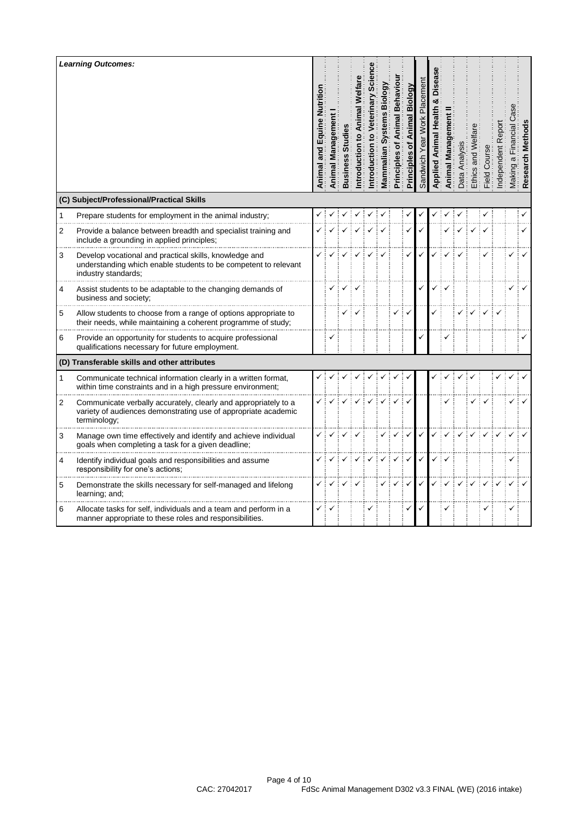|              | <b>Learning Outcomes:</b><br>(C) Subject/Professional/Practical Skills                                                                            | and Equine Nutrition<br>Animal | Managem<br>Animal | Busine: | ntroduction | ntroduction | ₫<br>m<br>ian<br>Vlammal | Behav<br>mal<br>៊<br>Principles | Biology<br>৳<br>Principles | ilda | Animal | $\overline{\omega}$<br>ಗೆ | Ethics | Cou<br>Field <sup>1</sup> | त्त<br>$\omega$<br>တ |  |
|--------------|---------------------------------------------------------------------------------------------------------------------------------------------------|--------------------------------|-------------------|---------|-------------|-------------|--------------------------|---------------------------------|----------------------------|------|--------|---------------------------|--------|---------------------------|----------------------|--|
| $\mathbf{1}$ | Prepare students for employment in the animal industry;                                                                                           |                                |                   |         |             |             |                          |                                 |                            |      |        |                           |        |                           |                      |  |
| 2            | Provide a balance between breadth and specialist training and<br>include a grounding in applied principles;                                       |                                |                   |         |             |             |                          |                                 |                            |      |        |                           |        |                           |                      |  |
| 3            | Develop vocational and practical skills, knowledge and<br>understanding which enable students to be competent to relevant<br>industry standards:  |                                |                   |         |             |             |                          |                                 |                            |      |        |                           |        |                           |                      |  |
| 4            | Assist students to be adaptable to the changing demands of<br>business and society;                                                               |                                |                   |         |             |             |                          |                                 |                            |      |        |                           |        |                           |                      |  |
| 5            | Allow students to choose from a range of options appropriate to<br>their needs, while maintaining a coherent programme of study;                  |                                |                   |         |             |             |                          |                                 |                            |      |        |                           |        |                           |                      |  |
| 6            | Provide an opportunity for students to acquire professional<br>qualifications necessary for future employment.                                    |                                |                   |         |             |             |                          |                                 |                            |      |        |                           |        |                           |                      |  |
|              | (D) Transferable skills and other attributes                                                                                                      |                                |                   |         |             |             |                          |                                 |                            |      |        |                           |        |                           |                      |  |
| 1            | Communicate technical information clearly in a written format,<br>within time constraints and in a high pressure environment;                     |                                |                   |         |             |             |                          |                                 |                            |      |        |                           |        |                           |                      |  |
| 2            | Communicate verbally accurately, clearly and appropriately to a<br>variety of audiences demonstrating use of appropriate academic<br>terminology; |                                |                   |         |             |             |                          |                                 |                            |      |        |                           |        |                           |                      |  |
| 3            | Manage own time effectively and identify and achieve individual<br>goals when completing a task for a given deadline;                             |                                |                   |         |             |             |                          |                                 |                            |      |        |                           |        |                           |                      |  |
| 4            | Identify individual goals and responsibilities and assume<br>responsibility for one's actions;                                                    |                                |                   |         |             |             |                          |                                 |                            |      |        |                           |        |                           |                      |  |
| 5            | Demonstrate the skills necessary for self-managed and lifelong<br>learning; and;                                                                  |                                |                   |         |             |             |                          |                                 |                            |      |        |                           |        |                           |                      |  |
| 6            | Allocate tasks for self, individuals and a team and perform in a<br>manner appropriate to these roles and responsibilities.                       | ✓                              |                   |         |             |             |                          |                                 | ✓                          |      |        |                           |        | ✓                         |                      |  |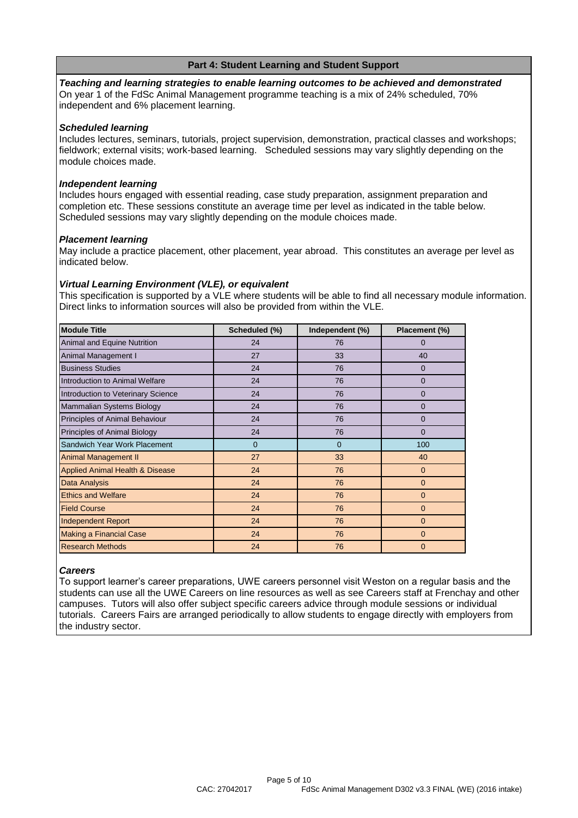## **Part 4: Student Learning and Student Support**

*Teaching and learning strategies to enable learning outcomes to be achieved and demonstrated* On year 1 of the FdSc Animal Management programme teaching is a mix of 24% scheduled, 70% independent and 6% placement learning.

#### *Scheduled learning*

Includes lectures, seminars, tutorials, project supervision, demonstration, practical classes and workshops; fieldwork; external visits; work-based learning. Scheduled sessions may vary slightly depending on the module choices made.

#### *Independent learning*

Includes hours engaged with essential reading, case study preparation, assignment preparation and completion etc. These sessions constitute an average time per level as indicated in the table below. Scheduled sessions may vary slightly depending on the module choices made.

#### *Placement learning*

May include a practice placement, other placement, year abroad. This constitutes an average per level as indicated below.

#### *Virtual Learning Environment (VLE), or equivalent*

This specification is supported by a VLE where students will be able to find all necessary module information. Direct links to information sources will also be provided from within the VLE.

| <b>Module Title</b>                        | Scheduled (%)  | Independent (%) | Placement (%)  |
|--------------------------------------------|----------------|-----------------|----------------|
| Animal and Equine Nutrition                | 24             | 76              | $\Omega$       |
| Animal Management I                        | 27             | 33              | 40             |
| <b>Business Studies</b>                    | 24             | 76              | $\Omega$       |
| Introduction to Animal Welfare             | 24             | 76              | $\mathbf{0}$   |
| Introduction to Veterinary Science         | 24             | 76              | 0              |
| Mammalian Systems Biology                  | 24             | 76              | $\Omega$       |
| Principles of Animal Behaviour             | 24             | 76              | 0              |
| Principles of Animal Biology               | 24             | 76              | $\Omega$       |
| Sandwich Year Work Placement               | $\overline{0}$ | $\mathbf{0}$    | 100            |
| <b>Animal Management II</b>                | 27             | 33              | 40             |
| <b>Applied Animal Health &amp; Disease</b> | 24             | 76              | $\mathbf{0}$   |
| Data Analysis                              | 24             | 76              | $\overline{0}$ |
| <b>Ethics and Welfare</b>                  | 24             | 76              | $\overline{0}$ |
| <b>Field Course</b>                        | 24             | 76              | $\overline{0}$ |
| <b>Independent Report</b>                  | 24             | 76              | $\Omega$       |
| <b>Making a Financial Case</b>             | 24             | 76              | $\mathbf{0}$   |
| <b>Research Methods</b>                    | 24             | 76              | $\Omega$       |

#### *Careers*

To support learner's career preparations, UWE careers personnel visit Weston on a regular basis and the students can use all the UWE Careers on line resources as well as see Careers staff at Frenchay and other campuses. Tutors will also offer subject specific careers advice through module sessions or individual tutorials. Careers Fairs are arranged periodically to allow students to engage directly with employers from the industry sector.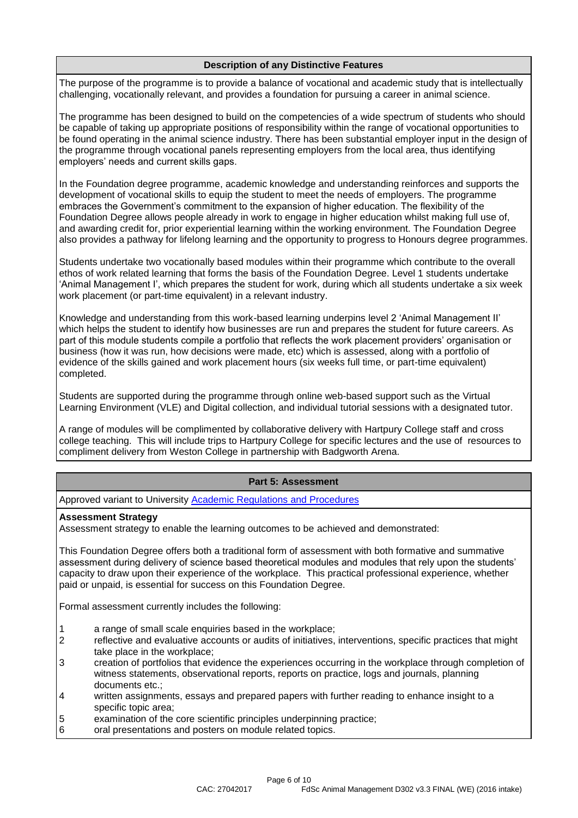# **Description of any Distinctive Features**

The purpose of the programme is to provide a balance of vocational and academic study that is intellectually challenging, vocationally relevant, and provides a foundation for pursuing a career in animal science.

The programme has been designed to build on the competencies of a wide spectrum of students who should be capable of taking up appropriate positions of responsibility within the range of vocational opportunities to be found operating in the animal science industry. There has been substantial employer input in the design of the programme through vocational panels representing employers from the local area, thus identifying employers' needs and current skills gaps.

In the Foundation degree programme, academic knowledge and understanding reinforces and supports the development of vocational skills to equip the student to meet the needs of employers. The programme embraces the Government's commitment to the expansion of higher education. The flexibility of the Foundation Degree allows people already in work to engage in higher education whilst making full use of, and awarding credit for, prior experiential learning within the working environment. The Foundation Degree also provides a pathway for lifelong learning and the opportunity to progress to Honours degree programmes.

Students undertake two vocationally based modules within their programme which contribute to the overall ethos of work related learning that forms the basis of the Foundation Degree. Level 1 students undertake 'Animal Management I', which prepares the student for work, during which all students undertake a six week work placement (or part-time equivalent) in a relevant industry.

Knowledge and understanding from this work-based learning underpins level 2 'Animal Management II' which helps the student to identify how businesses are run and prepares the student for future careers. As part of this module students compile a portfolio that reflects the work placement providers' organisation or business (how it was run, how decisions were made, etc) which is assessed, along with a portfolio of evidence of the skills gained and work placement hours (six weeks full time, or part-time equivalent) completed.

Students are supported during the programme through online web-based support such as the Virtual Learning Environment (VLE) and Digital collection, and individual tutorial sessions with a designated tutor.

A range of modules will be complimented by collaborative delivery with Hartpury College staff and cross college teaching. This will include trips to Hartpury College for specific lectures and the use of resources to compliment delivery from Weston College in partnership with Badgworth Arena.

## **Part 5: Assessment**

Approved variant to University **Academic Regulations and Procedures** 

#### **Assessment Strategy**

Assessment strategy to enable the learning outcomes to be achieved and demonstrated:

This Foundation Degree offers both a traditional form of assessment with both formative and summative assessment during delivery of science based theoretical modules and modules that rely upon the students' capacity to draw upon their experience of the workplace. This practical professional experience, whether paid or unpaid, is essential for success on this Foundation Degree.

Formal assessment currently includes the following:

- 1 a range of small scale enquiries based in the workplace;
- 2 reflective and evaluative accounts or audits of initiatives, interventions, specific practices that might take place in the workplace;
- 3 creation of portfolios that evidence the experiences occurring in the workplace through completion of witness statements, observational reports, reports on practice, logs and journals, planning documents etc.;
- 4 written assignments, essays and prepared papers with further reading to enhance insight to a specific topic area;
- 5 examination of the core scientific principles underpinning practice;<br>6 oral presentations and posters on module related topics.
- oral presentations and posters on module related topics.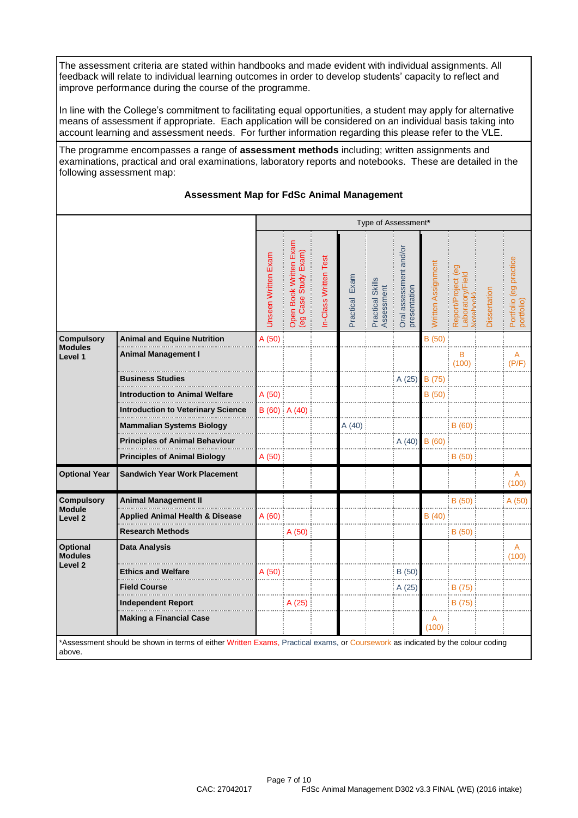The assessment criteria are stated within handbooks and made evident with individual assignments. All feedback will relate to individual learning outcomes in order to develop students' capacity to reflect and improve performance during the course of the programme.

In line with the College's commitment to facilitating equal opportunities, a student may apply for alternative means of assessment if appropriate. Each application will be considered on an individual basis taking into account learning and assessment needs. For further information regarding this please refer to the VLE.

The programme encompasses a range of **assessment methods** including; written assignments and examinations, practical and oral examinations, laboratory reports and notebooks. These are detailed in the following assessment map:

#### **Assessment Map for FdSc Animal Management**

|                                                         |                                           | Type of Assessment*        |                                                |                      |                |                                |                                        |                    |                                                     |              |                                      |
|---------------------------------------------------------|-------------------------------------------|----------------------------|------------------------------------------------|----------------------|----------------|--------------------------------|----------------------------------------|--------------------|-----------------------------------------------------|--------------|--------------------------------------|
|                                                         |                                           | <b>Unseen Written Exam</b> | Open Book Written Exam<br>(eg Case Study Exam) | n-Class Written Test | Practical Exam | Practical Skills<br>Assessment | Oral assessment and/or<br>presentation | Written Assignment | Report/Project (eg<br>_aboratory/Field<br>Votebook) | Dissertation | Portfolio (eg practice<br>portfolio) |
| <b>Compulsory</b>                                       | <b>Animal and Equine Nutrition</b>        | A(50)                      |                                                |                      |                |                                |                                        | B(50)              |                                                     |              |                                      |
| <b>Modules</b><br>Level 1                               | <b>Animal Management I</b>                |                            |                                                |                      |                |                                |                                        |                    | B<br>(100)                                          |              | A<br>(P/F)                           |
|                                                         | <b>Business Studies</b>                   |                            |                                                |                      |                |                                | A (25)                                 | B (75)             |                                                     |              |                                      |
|                                                         | <b>Introduction to Animal Welfare</b>     | A (50)                     |                                                |                      |                |                                |                                        | B (50)             |                                                     |              |                                      |
|                                                         | <b>Introduction to Veterinary Science</b> |                            | $B(60)$ A $(40)$                               |                      |                |                                |                                        |                    |                                                     |              |                                      |
|                                                         | <b>Mammalian Systems Biology</b>          |                            |                                                |                      | A(40)          |                                |                                        |                    | B(60)                                               |              |                                      |
|                                                         | <b>Principles of Animal Behaviour</b>     |                            |                                                |                      |                |                                | A(40)                                  | B(60)              |                                                     |              |                                      |
|                                                         | <b>Principles of Animal Biology</b>       | A(50)                      |                                                |                      |                |                                |                                        |                    | B(50)                                               |              |                                      |
| <b>Optional Year</b>                                    | <b>Sandwich Year Work Placement</b>       |                            |                                                |                      |                |                                |                                        |                    |                                                     |              | A<br>(100)                           |
| <b>Compulsory</b><br><b>Module</b>                      | <b>Animal Management II</b>               |                            |                                                |                      |                |                                |                                        |                    | B(50)                                               |              | A(50)                                |
| Level <sub>2</sub>                                      | Applied Animal Health & Disease           | A(60)                      |                                                |                      |                |                                |                                        | B(40)              |                                                     |              |                                      |
|                                                         | <b>Research Methods</b>                   |                            | A (50)                                         |                      |                |                                |                                        |                    | B (50)                                              |              |                                      |
| <b>Optional</b><br><b>Modules</b><br>Level <sub>2</sub> | <b>Data Analysis</b>                      |                            |                                                |                      |                |                                |                                        |                    |                                                     |              | A<br>(100)                           |
|                                                         | <b>Ethics and Welfare</b>                 | A (50)                     |                                                |                      |                |                                | B(50)                                  |                    |                                                     |              |                                      |
|                                                         | <b>Field Course</b>                       |                            |                                                |                      |                |                                | A (25)                                 |                    | B (75)                                              |              |                                      |
|                                                         | <b>Independent Report</b>                 |                            | A (25)                                         |                      |                |                                |                                        |                    | B (75)                                              |              |                                      |
|                                                         | <b>Making a Financial Case</b>            |                            |                                                |                      |                |                                |                                        | A<br>(100)         |                                                     |              |                                      |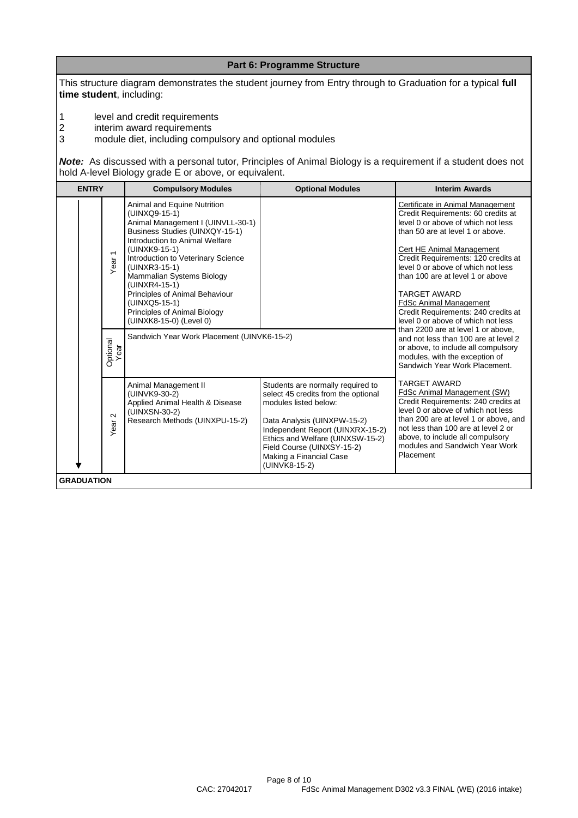This structure diagram demonstrates the student journey from Entry through to Graduation for a typical **full time student**, including:

**Part 6: Programme Structure**

1 level and credit requirements<br>2 interim award requirements

2 interim award requirements<br>3 module diet, including comp

3 module diet, including compulsory and optional modules

*Note:*As discussed with a personal tutor, Principles of Animal Biology is a requirement if a student does not hold A-level Biology grade E or above, or equivalent.

| <b>ENTRY</b>           | <b>Compulsory Modules</b>                                                                                                                                                                                                                                                                                                                                                                 | <b>Optional Modules</b>                                                                                                                                                                                                                                                            | <b>Interim Awards</b>                                                                                                                                                                                                                                                                                                                                                                                                                                                     |
|------------------------|-------------------------------------------------------------------------------------------------------------------------------------------------------------------------------------------------------------------------------------------------------------------------------------------------------------------------------------------------------------------------------------------|------------------------------------------------------------------------------------------------------------------------------------------------------------------------------------------------------------------------------------------------------------------------------------|---------------------------------------------------------------------------------------------------------------------------------------------------------------------------------------------------------------------------------------------------------------------------------------------------------------------------------------------------------------------------------------------------------------------------------------------------------------------------|
| $\overline{ }$<br>Year | Animal and Equine Nutrition<br>(UINXQ9-15-1)<br>Animal Management I (UINVLL-30-1)<br>Business Studies (UINXQY-15-1)<br>Introduction to Animal Welfare<br>(UINXK9-15-1)<br>Introduction to Veterinary Science<br>(UINXR3-15-1)<br>Mammalian Systems Biology<br>(UINXR4-15-1)<br>Principles of Animal Behaviour<br>(UINXQ5-15-1)<br>Principles of Animal Biology<br>(UINXK8-15-0) (Level 0) |                                                                                                                                                                                                                                                                                    | Certificate in Animal Management<br>Credit Requirements: 60 credits at<br>level 0 or above of which not less<br>than 50 are at level 1 or above.<br>Cert HE Animal Management<br>Credit Requirements: 120 credits at<br>level 0 or above of which not less<br>than 100 are at level 1 or above<br><b>TARGET AWARD</b><br><b>FdSc Animal Management</b><br>Credit Requirements: 240 credits at<br>level 0 or above of which not less<br>than 2200 are at level 1 or above. |
| Optional<br>Year<br>БЭ | Sandwich Year Work Placement (UINVK6-15-2)                                                                                                                                                                                                                                                                                                                                                |                                                                                                                                                                                                                                                                                    | and not less than 100 are at level 2<br>or above, to include all compulsory<br>modules, with the exception of<br>Sandwich Year Work Placement.                                                                                                                                                                                                                                                                                                                            |
| $\sim$<br>Year         | Animal Management II<br>(UINVK9-30-2)<br>Applied Animal Health & Disease<br>(UINXSN-30-2)<br>Research Methods (UINXPU-15-2)                                                                                                                                                                                                                                                               | Students are normally required to<br>select 45 credits from the optional<br>modules listed below:<br>Data Analysis (UINXPW-15-2)<br>Independent Report (UINXRX-15-2)<br>Ethics and Welfare (UINXSW-15-2)<br>Field Course (UINXSY-15-2)<br>Making a Financial Case<br>(UINVK8-15-2) | <b>TARGET AWARD</b><br>FdSc Animal Management (SW)<br>Credit Requirements: 240 credits at<br>level 0 or above of which not less<br>than 200 are at level 1 or above, and<br>not less than 100 are at level 2 or<br>above, to include all compulsory<br>modules and Sandwich Year Work<br>Placement                                                                                                                                                                        |
| <b>GRADUATION</b>      |                                                                                                                                                                                                                                                                                                                                                                                           |                                                                                                                                                                                                                                                                                    |                                                                                                                                                                                                                                                                                                                                                                                                                                                                           |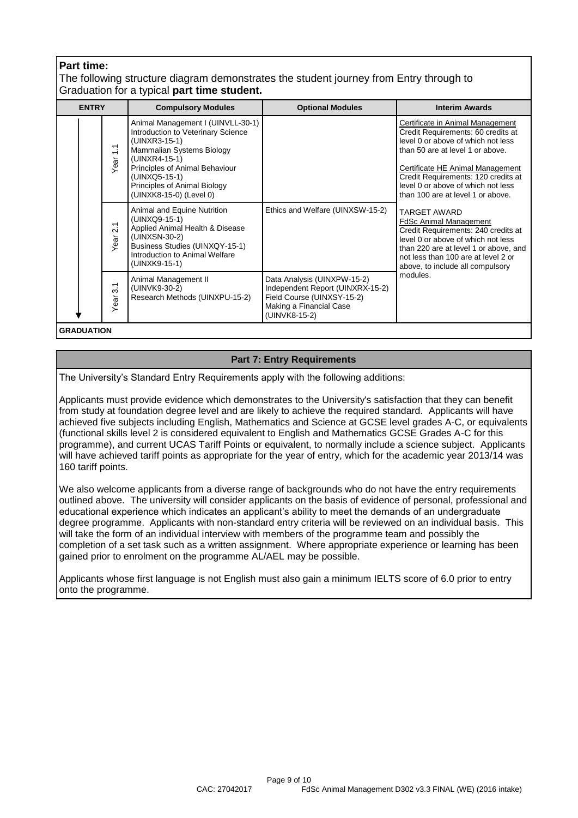# **Part time:**

# The following structure diagram demonstrates the student journey from Entry through to Graduation for a typical **part time student.**

| <b>ENTRY</b> |                          | <b>Compulsory Modules</b>                                                                                                                                                                                                                            | <b>Optional Modules</b>                                                                                                                   | <b>Interim Awards</b>                                                                                                                                                                                                                                                                                  |  |  |  |  |  |  |  |
|--------------|--------------------------|------------------------------------------------------------------------------------------------------------------------------------------------------------------------------------------------------------------------------------------------------|-------------------------------------------------------------------------------------------------------------------------------------------|--------------------------------------------------------------------------------------------------------------------------------------------------------------------------------------------------------------------------------------------------------------------------------------------------------|--|--|--|--|--|--|--|
|              | $\ddot{ }$<br>Year       | Animal Management I (UINVLL-30-1)<br>Introduction to Veterinary Science<br>(UINXR3-15-1)<br>Mammalian Systems Biology<br>(UINXR4-15-1)<br>Principles of Animal Behaviour<br>(UINXQ5-15-1)<br>Principles of Animal Biology<br>(UINXK8-15-0) (Level 0) |                                                                                                                                           | Certificate in Animal Management<br>Credit Requirements: 60 credits at<br>level 0 or above of which not less<br>than 50 are at level 1 or above.<br>Certificate HE Animal Management<br>Credit Requirements: 120 credits at<br>level 0 or above of which not less<br>than 100 are at level 1 or above. |  |  |  |  |  |  |  |
|              | $\overline{2.1}$<br>Year | Animal and Equine Nutrition<br>(UINXQ9-15-1)<br>Applied Animal Health & Disease<br>(UINXSN-30-2)<br>Business Studies (UINXQY-15-1)<br>Introduction to Animal Welfare<br>(UINXK9-15-1)                                                                | Ethics and Welfare (UINXSW-15-2)                                                                                                          | <b>TARGET AWARD</b><br><b>FdSc Animal Management</b><br>Credit Requirements: 240 credits at<br>level 0 or above of which not less<br>than 220 are at level 1 or above, and<br>not less than 100 are at level 2 or<br>above, to include all compulsory                                                  |  |  |  |  |  |  |  |
|              | $\overline{3}$ .<br>Year | Animal Management II<br>(UINVK9-30-2)<br>Research Methods (UINXPU-15-2)                                                                                                                                                                              | Data Analysis (UINXPW-15-2)<br>Independent Report (UINXRX-15-2)<br>Field Course (UINXSY-15-2)<br>Making a Financial Case<br>(UINVK8-15-2) | modules.                                                                                                                                                                                                                                                                                               |  |  |  |  |  |  |  |
|              |                          |                                                                                                                                                                                                                                                      |                                                                                                                                           |                                                                                                                                                                                                                                                                                                        |  |  |  |  |  |  |  |

**GRADUATION**

# **Part 7: Entry Requirements**

The University's Standard Entry Requirements apply with the following additions:

Applicants must provide evidence which demonstrates to the University's satisfaction that they can benefit from study at foundation degree level and are likely to achieve the required standard. Applicants will have achieved five subjects including English, Mathematics and Science at GCSE level grades A-C, or equivalents (functional skills level 2 is considered equivalent to English and Mathematics GCSE Grades A-C for this programme), and current UCAS Tariff Points or equivalent, to normally include a science subject. Applicants will have achieved tariff points as appropriate for the year of entry, which for the academic year 2013/14 was 160 tariff points.

We also welcome applicants from a diverse range of backgrounds who do not have the entry requirements outlined above. The university will consider applicants on the basis of evidence of personal, professional and educational experience which indicates an applicant's ability to meet the demands of an undergraduate degree programme. Applicants with non-standard entry criteria will be reviewed on an individual basis. This will take the form of an individual interview with members of the programme team and possibly the completion of a set task such as a written assignment. Where appropriate experience or learning has been gained prior to enrolment on the programme AL/AEL may be possible.

Applicants whose first language is not English must also gain a minimum IELTS score of 6.0 prior to entry onto the programme.